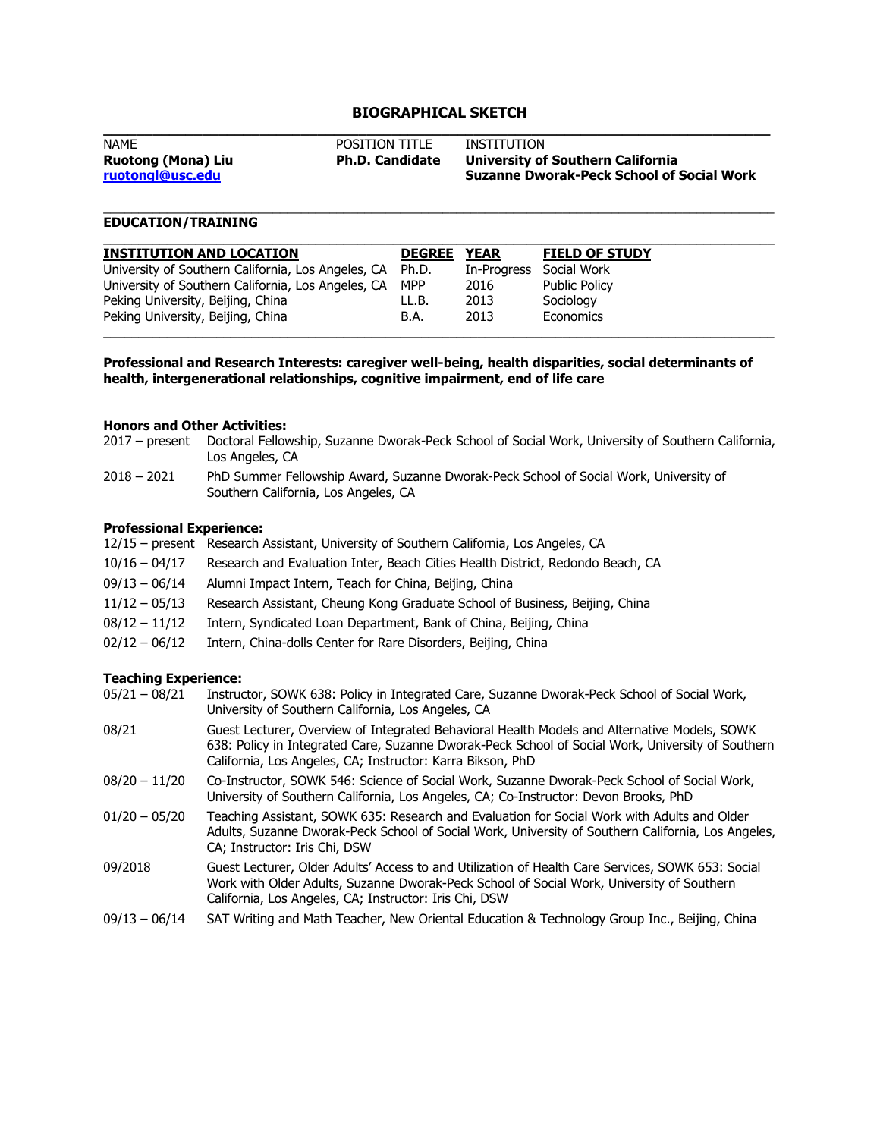## **BIOGRAPHICAL SKETCH**

| <b>NAME</b>               | <b>POSITION TITLE</b>  | INSTITUTION                                      |
|---------------------------|------------------------|--------------------------------------------------|
| <b>Ruotong (Mona) Liu</b> | <b>Ph.D. Candidate</b> | University of Southern California                |
| ruotongl@usc.edu          |                        | <b>Suzanne Dworak-Peck School of Social Work</b> |
|                           |                        |                                                  |

\_\_\_\_\_\_\_\_\_\_\_\_\_\_\_\_\_\_\_\_\_\_\_\_\_\_\_\_\_\_\_\_\_\_\_\_\_\_\_\_\_\_\_\_\_\_\_\_\_\_\_\_\_\_\_\_\_\_\_\_\_\_\_\_\_\_\_\_\_\_\_\_\_\_\_\_\_\_\_\_\_\_\_\_\_\_\_\_\_\_\_\_\_\_\_

# **EDUCATION/TRAINING**

| <b>INSTITUTION AND LOCATION</b>                          | <b>DEGREE</b> | <b>YEAR</b> | <b>FIELD OF STUDY</b> |
|----------------------------------------------------------|---------------|-------------|-----------------------|
| University of Southern California, Los Angeles, CA Ph.D. |               | In-Progress | Social Work           |
| University of Southern California, Los Angeles, CA       | <b>MPP</b>    | 2016        | <b>Public Policy</b>  |
| Peking University, Beijing, China                        | LL.B.         | 2013        | Sociology             |
| Peking University, Beijing, China                        | B.A.          | 2013        | Economics             |

**Professional and Research Interests: caregiver well-being, health disparities, social determinants of health, intergenerational relationships, cognitive impairment, end of life care**

#### **Honors and Other Activities:**

- 2017 present Doctoral Fellowship, Suzanne Dworak-Peck School of Social Work, University of Southern California, Los Angeles, CA
- 2018 2021 PhD Summer Fellowship Award, Suzanne Dworak-Peck School of Social Work, University of Southern California, Los Angeles, CA

#### **Professional Experience:**

|                 | 12/15 – present Research Assistant, University of Southern California, Los Angeles, CA |  |
|-----------------|----------------------------------------------------------------------------------------|--|
| $10/16 - 04/17$ | Research and Evaluation Inter, Beach Cities Health District, Redondo Beach, CA         |  |
| 09/13 - 06/14   | Alumni Impact Intern, Teach for China, Beijing, China                                  |  |
| $11/12 - 05/13$ | Research Assistant, Cheung Kong Graduate School of Business, Beijing, China            |  |
| 08/12 - 11/12   | Intern, Syndicated Loan Department, Bank of China, Beijing, China                      |  |
| 02/12 - 06/12   | Intern, China-dolls Center for Rare Disorders, Beijing, China                          |  |

# **Teaching Experience:**<br>05/21 - 08/21 **Instructs**

| $05/21 - 08/21$ | Instructor, SOWK 638: Policy in Integrated Care, Suzanne Dworak-Peck School of Social Work,<br>University of Southern California, Los Angeles, CA                                                                                                               |
|-----------------|-----------------------------------------------------------------------------------------------------------------------------------------------------------------------------------------------------------------------------------------------------------------|
| 08/21           | Guest Lecturer, Overview of Integrated Behavioral Health Models and Alternative Models, SOWK<br>638: Policy in Integrated Care, Suzanne Dworak-Peck School of Social Work, University of Southern<br>California, Los Angeles, CA; Instructor: Karra Bikson, PhD |
| $08/20 - 11/20$ | Co-Instructor, SOWK 546: Science of Social Work, Suzanne Dworak-Peck School of Social Work,<br>University of Southern California, Los Angeles, CA; Co-Instructor: Devon Brooks, PhD                                                                             |
| $01/20 - 05/20$ | Teaching Assistant, SOWK 635: Research and Evaluation for Social Work with Adults and Older<br>Adults, Suzanne Dworak-Peck School of Social Work, University of Southern California, Los Angeles,<br>CA; Instructor: Iris Chi, DSW                              |
| 09/2018         | Guest Lecturer, Older Adults' Access to and Utilization of Health Care Services, SOWK 653: Social<br>Work with Older Adults, Suzanne Dworak-Peck School of Social Work, University of Southern<br>California, Los Angeles, CA; Instructor: Iris Chi, DSW        |
| $09/13 - 06/14$ | SAT Writing and Math Teacher, New Oriental Education & Technology Group Inc., Beijing, China                                                                                                                                                                    |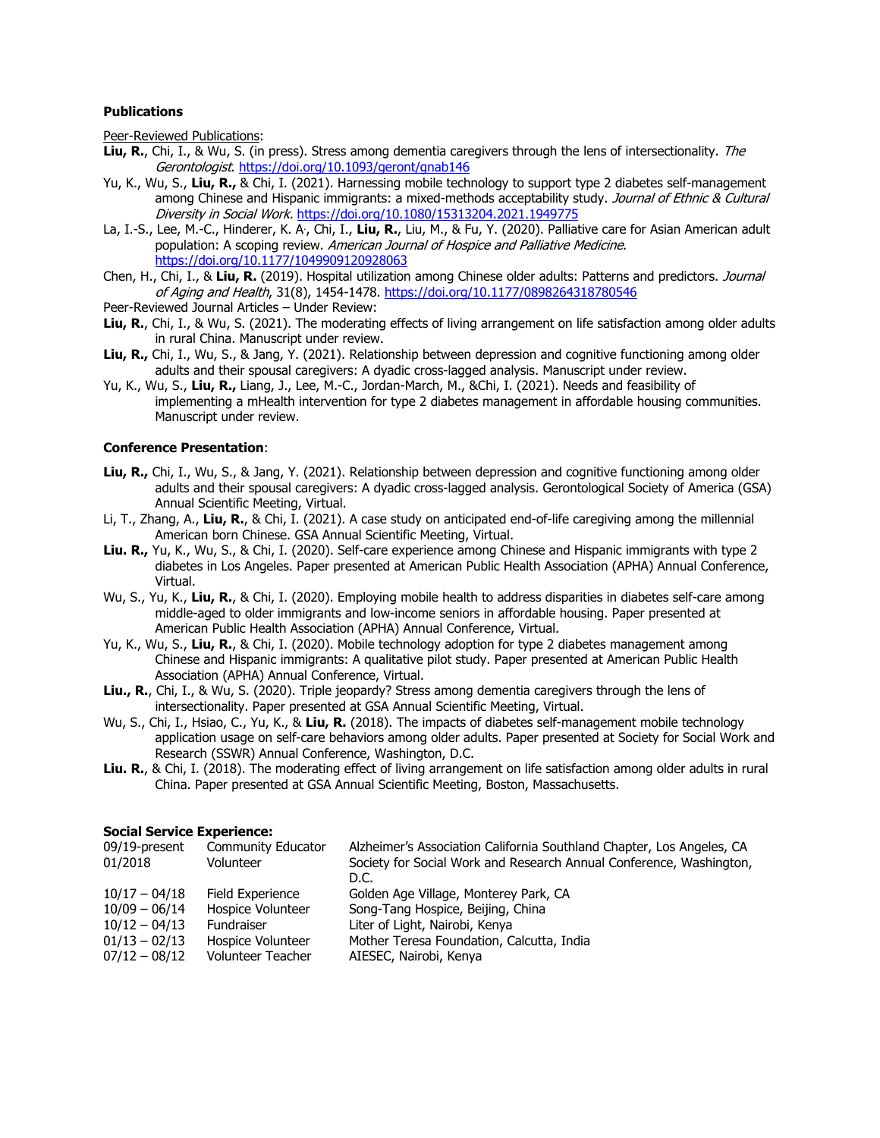#### **Publications**

Peer-Reviewed Publications:

- **Liu, R.**, Chi, I., & Wu, S. (in press). Stress among dementia caregivers through the lens of intersectionality. The Gerontologist.<https://doi.org/10.1093/geront/gnab146>
- Yu, K., Wu, S., **Liu, R.,** & Chi, I. (2021). Harnessing mobile technology to support type 2 diabetes self-management among Chinese and Hispanic immigrants: a mixed-methods acceptability study. Journal of Ethnic & Cultural Diversity in Social Work. <https://doi.org/10.1080/15313204.2021.1949775>
- La, I.-S., Lee, M.-C., Hinderer, K. A<sup>.</sup>, Chi, I., **Liu, R.**, Liu, M., & Fu, Y. (2020). Palliative care for Asian American adult population: A scoping review. American Journal of Hospice and Palliative Medicine. <https://doi.org/10.1177/1049909120928063>
- Chen, H., Chi, I., & **Liu, R.** (2019). Hospital utilization among Chinese older adults: Patterns and predictors. Journal of Aging and Health, 31(8), 1454-1478. <https://doi.org/10.1177/0898264318780546>
- Peer-Reviewed Journal Articles Under Review:
- **Liu, R.**, Chi, I., & Wu, S. (2021). The moderating effects of living arrangement on life satisfaction among older adults in rural China. Manuscript under review.
- **Liu, R.,** Chi, I., Wu, S., & Jang, Y. (2021). Relationship between depression and cognitive functioning among older adults and their spousal caregivers: A dyadic cross-lagged analysis. Manuscript under review.
- Yu, K., Wu, S., **Liu, R.,** Liang, J., Lee, M.-C., Jordan-March, M., &Chi, I. (2021). Needs and feasibility of implementing a mHealth intervention for type 2 diabetes management in affordable housing communities. Manuscript under review.

#### **Conference Presentation**:

- **Liu, R.,** Chi, I., Wu, S., & Jang, Y. (2021). Relationship between depression and cognitive functioning among older adults and their spousal caregivers: A dyadic cross-lagged analysis. Gerontological Society of America (GSA) Annual Scientific Meeting, Virtual.
- Li, T., Zhang, A., **Liu, R.**, & Chi, I. (2021). A case study on anticipated end-of-life caregiving among the millennial American born Chinese. GSA Annual Scientific Meeting, Virtual.
- **Liu. R.,** Yu, K., Wu, S., & Chi, I. (2020). Self-care experience among Chinese and Hispanic immigrants with type 2 diabetes in Los Angeles. Paper presented at American Public Health Association (APHA) Annual Conference, Virtual.
- Wu, S., Yu, K., **Liu, R.**, & Chi, I. (2020). Employing mobile health to address disparities in diabetes self-care among middle-aged to older immigrants and low-income seniors in affordable housing. Paper presented at American Public Health Association (APHA) Annual Conference, Virtual.
- Yu, K., Wu, S., **Liu, R.**, & Chi, I. (2020). Mobile technology adoption for type 2 diabetes management among Chinese and Hispanic immigrants: A qualitative pilot study. Paper presented at American Public Health Association (APHA) Annual Conference, Virtual.
- **Liu., R.**, Chi, I., & Wu, S. (2020). Triple jeopardy? Stress among dementia caregivers through the lens of intersectionality. Paper presented at GSA Annual Scientific Meeting, Virtual.
- Wu, S., Chi, I., Hsiao, C., Yu, K., & **Liu, R.** (2018). The impacts of diabetes self-management mobile technology application usage on self-care behaviors among older adults. Paper presented at Society for Social Work and Research (SSWR) Annual Conference, Washington, D.C.
- **Liu. R.**, & Chi, I. (2018). The moderating effect of living arrangement on life satisfaction among older adults in rural China. Paper presented at GSA Annual Scientific Meeting, Boston, Massachusetts.

#### **Social Service Experience:**

| 09/19-present   | Community Educator       | Alzheimer's Association California Southland Chapter, Los Angeles, CA |
|-----------------|--------------------------|-----------------------------------------------------------------------|
| 01/2018         | Volunteer                | Society for Social Work and Research Annual Conference, Washington,   |
|                 |                          | D.C.                                                                  |
| $10/17 - 04/18$ | Field Experience         | Golden Age Village, Monterey Park, CA                                 |
| $10/09 - 06/14$ | Hospice Volunteer        | Song-Tang Hospice, Beijing, China                                     |
| $10/12 - 04/13$ | Fundraiser               | Liter of Light, Nairobi, Kenya                                        |
| $01/13 - 02/13$ | Hospice Volunteer        | Mother Teresa Foundation, Calcutta, India                             |
| $07/12 - 08/12$ | <b>Volunteer Teacher</b> | AIESEC, Nairobi, Kenya                                                |
|                 |                          |                                                                       |